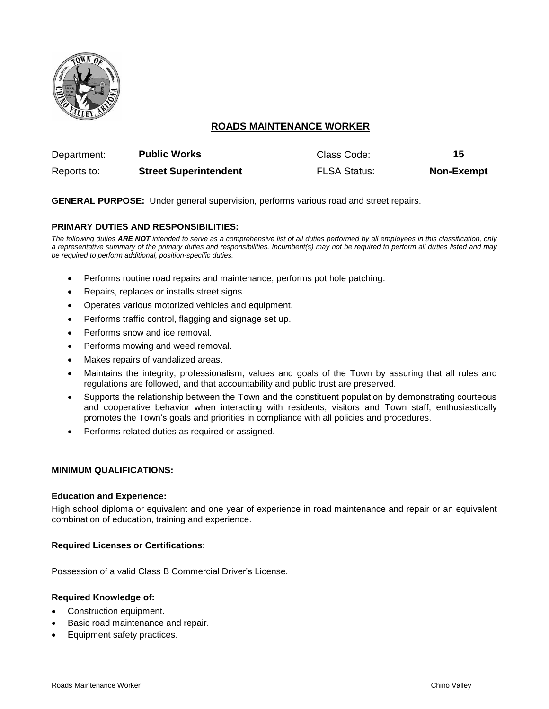

# **ROADS MAINTENANCE WORKER**

| Department: | <b>Public Works</b>          | Class Code:         | 15                |
|-------------|------------------------------|---------------------|-------------------|
| Reports to: | <b>Street Superintendent</b> | <b>FLSA Status:</b> | <b>Non-Exempt</b> |

**GENERAL PURPOSE:** Under general supervision, performs various road and street repairs.

## **PRIMARY DUTIES AND RESPONSIBILITIES:**

*The following duties ARE NOT intended to serve as a comprehensive list of all duties performed by all employees in this classification, only a representative summary of the primary duties and responsibilities. Incumbent(s) may not be required to perform all duties listed and may be required to perform additional, position-specific duties.*

- Performs routine road repairs and maintenance; performs pot hole patching.
- Repairs, replaces or installs street signs.
- Operates various motorized vehicles and equipment.
- Performs traffic control, flagging and signage set up.
- Performs snow and ice removal.
- Performs mowing and weed removal.
- Makes repairs of vandalized areas.
- Maintains the integrity, professionalism, values and goals of the Town by assuring that all rules and regulations are followed, and that accountability and public trust are preserved.
- Supports the relationship between the Town and the constituent population by demonstrating courteous and cooperative behavior when interacting with residents, visitors and Town staff; enthusiastically promotes the Town's goals and priorities in compliance with all policies and procedures.
- Performs related duties as required or assigned.

#### **MINIMUM QUALIFICATIONS:**

#### **Education and Experience:**

High school diploma or equivalent and one year of experience in road maintenance and repair or an equivalent combination of education, training and experience.

#### **Required Licenses or Certifications:**

Possession of a valid Class B Commercial Driver's License.

#### **Required Knowledge of:**

- Construction equipment.
- Basic road maintenance and repair.
- Equipment safety practices.